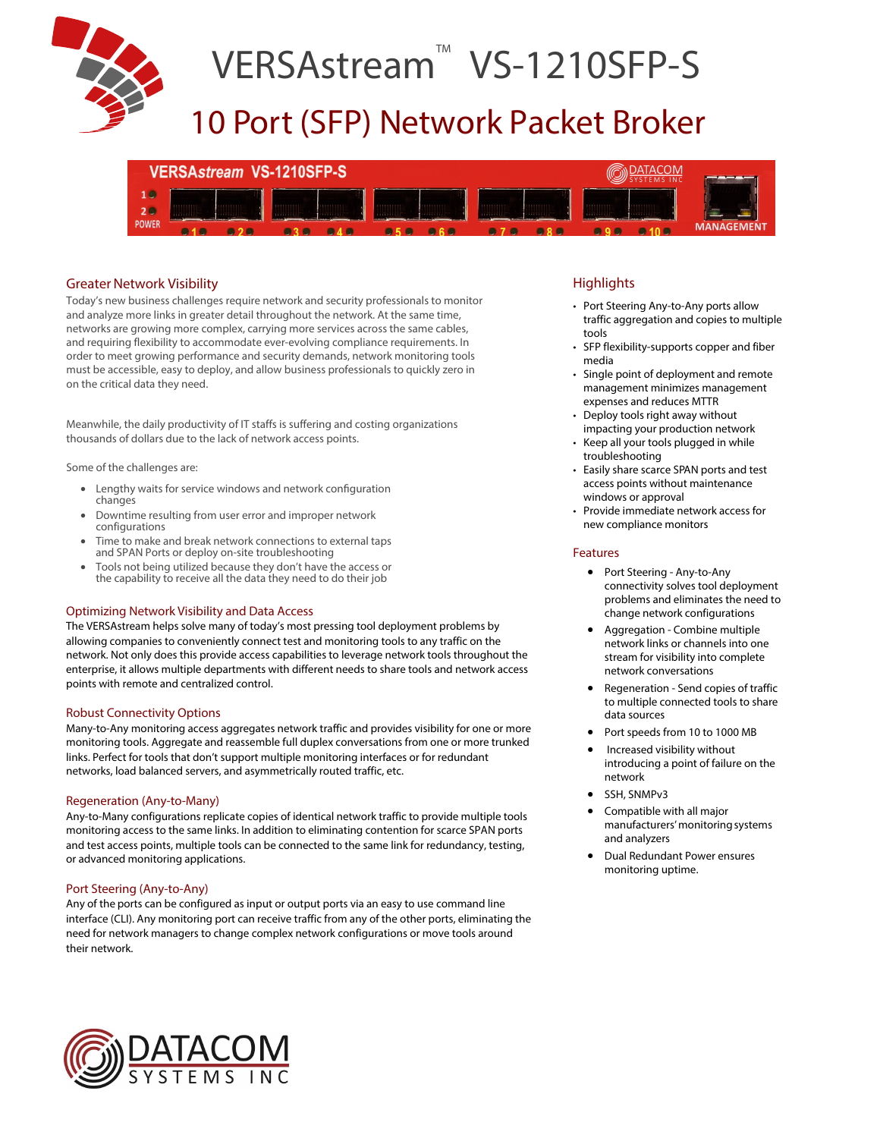

## VERSAstream<sup>™</sup> VS-1210SFP-S

### 10 Port (SFP) Network Packet Broker



### Greater Network Visibility

Today's new business challenges require network and security professionals to monitor and analyze more links in greater detail throughout the network. At the same time, networks are growing more complex, carrying more services across the same cables, and requiring flexibility to accommodate ever-evolving compliance requirements. In order to meet growing performance and security demands, network monitoring tools must be accessible, easy to deploy, and allow business professionals to quickly zero in on the critical data they need.

Meanwhile, the daily productivity of IT staffs is suffering and costing organizations thousands of dollars due to the lack of network access points.

Some of the challenges are:

- Lengthy waits for service windows and network confguration changes
- Downtime resulting from user error and improper network configurations
- Time to make and break network connections to external taps and SPAN Ports or deploy on-site troubleshooting
- Tools not being utilized because they don't have the access or the capability to receive all the data they need to do their job

### Optimizing Network Visibility and Data Access

The VERSAstream helps solve many of today's most pressing tool deployment problems by allowing companies to conveniently connect test and monitoring tools to any traffic on the network. Not only does this provide access capabilities to leverage network tools throughout the enterprise, it allows multiple departments with different needs to share tools and network access points with remote and centralized control.

### Robust Connectivity Options

Many-to-Any monitoring access aggregates network traffic and provides visibility for one or more monitoring tools. Aggregate and reassemble full duplex conversations from one or more trunked links. Perfect for tools that don't support multiple monitoring interfaces or for redundant networks, load balanced servers, and asymmetrically routed traffic, etc.

### Regeneration (Any-to-Many)

Any-to-Many configurations replicate copies of identical network traffic to provide multiple tools monitoring access to the same links. In addition to eliminating contention for scarce SPAN ports and test access points, multiple tools can be connected to the same link for redundancy, testing, or advanced monitoring applications.

### Port Steering (Any-to-Any)

Any of the ports can be configured as input or output ports via an easy to use command line interface (CLI). Any monitoring port can receive traffic from any of the other ports, eliminating the need for network managers to change complex network configurations or move tools around their network.

### **Highlights**

- Port Steering Any-to-Any ports allow traffic aggregation and copies to multiple tools
- SFP flexibility-supports copper and fiber media
- Single point of deployment and remote management minimizes management expenses and reduces MTTR
- Deploy tools right away without impacting your production network
- Keep all your tools plugged in while troubleshooting
- Easily share scarce SPAN ports and test access points without maintenance windows or approval
- Provide immediate network access for new compliance monitors

### Features

- Port Steering Any-to-Any connectivity solves tool deployment problems and eliminates the need to change network configurations
- Aggregation Combine multiple network links or channels into one stream for visibility into complete network conversations
- Regeneration Send copies of traffic to multiple connected tools to share data sources
- Port speeds from 10 to 1000 MB
- Increased visibility without introducing a point of failure on the network
- SSH, SNMPv3
- Compatible with all major manufacturers' monitoring systems and analyzers
- Dual Redundant Power ensures monitoring uptime.